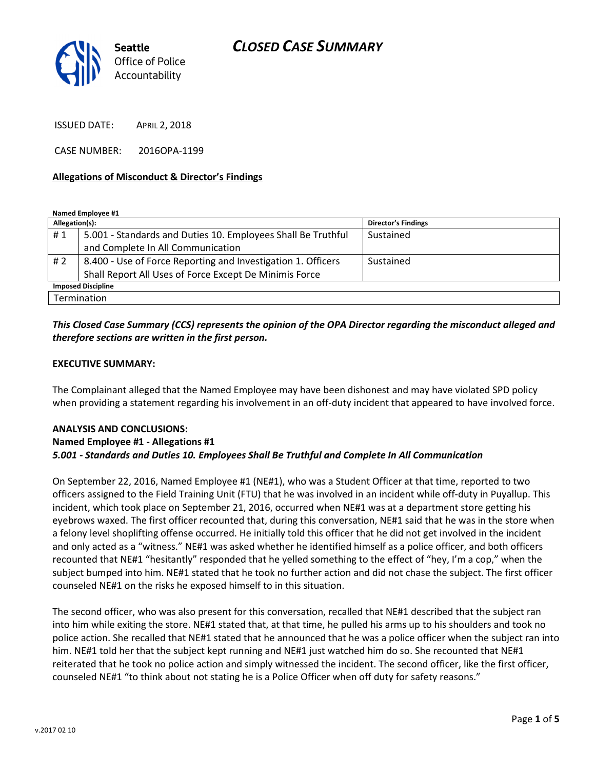

ISSUED DATE: APRIL 2, 2018

CASE NUMBER: 2016OPA-1199

### Allegations of Misconduct & Director's Findings

Named Employee #1

| Allegation(s):            |                                                              | <b>Director's Findings</b> |
|---------------------------|--------------------------------------------------------------|----------------------------|
| #1                        | 5.001 - Standards and Duties 10. Employees Shall Be Truthful | Sustained                  |
|                           | and Complete In All Communication                            |                            |
| # 2                       | 8.400 - Use of Force Reporting and Investigation 1. Officers | Sustained                  |
|                           | Shall Report All Uses of Force Except De Minimis Force       |                            |
| <b>Imposed Discipline</b> |                                                              |                            |
| Termination               |                                                              |                            |

## This Closed Case Summary (CCS) represents the opinion of the OPA Director regarding the misconduct alleged and therefore sections are written in the first person.

### EXECUTIVE SUMMARY:

The Complainant alleged that the Named Employee may have been dishonest and may have violated SPD policy when providing a statement regarding his involvement in an off-duty incident that appeared to have involved force.

### ANALYSIS AND CONCLUSIONS: Named Employee #1 - Allegations #1 5.001 - Standards and Duties 10. Employees Shall Be Truthful and Complete In All Communication

On September 22, 2016, Named Employee #1 (NE#1), who was a Student Officer at that time, reported to two officers assigned to the Field Training Unit (FTU) that he was involved in an incident while off-duty in Puyallup. This incident, which took place on September 21, 2016, occurred when NE#1 was at a department store getting his eyebrows waxed. The first officer recounted that, during this conversation, NE#1 said that he was in the store when a felony level shoplifting offense occurred. He initially told this officer that he did not get involved in the incident and only acted as a "witness." NE#1 was asked whether he identified himself as a police officer, and both officers recounted that NE#1 "hesitantly" responded that he yelled something to the effect of "hey, I'm a cop," when the subject bumped into him. NE#1 stated that he took no further action and did not chase the subject. The first officer counseled NE#1 on the risks he exposed himself to in this situation.

The second officer, who was also present for this conversation, recalled that NE#1 described that the subject ran into him while exiting the store. NE#1 stated that, at that time, he pulled his arms up to his shoulders and took no police action. She recalled that NE#1 stated that he announced that he was a police officer when the subject ran into him. NE#1 told her that the subject kept running and NE#1 just watched him do so. She recounted that NE#1 reiterated that he took no police action and simply witnessed the incident. The second officer, like the first officer, counseled NE#1 "to think about not stating he is a Police Officer when off duty for safety reasons."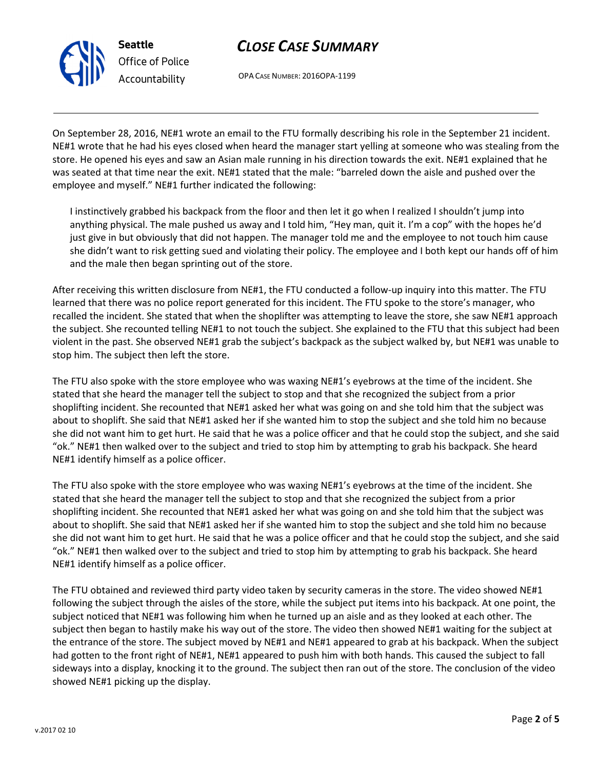# CLOSE CASE SUMMARY

OPA CASE NUMBER: 2016OPA-1199

On September 28, 2016, NE#1 wrote an email to the FTU formally describing his role in the September 21 incident. NE#1 wrote that he had his eyes closed when heard the manager start yelling at someone who was stealing from the store. He opened his eyes and saw an Asian male running in his direction towards the exit. NE#1 explained that he was seated at that time near the exit. NE#1 stated that the male: "barreled down the aisle and pushed over the employee and myself." NE#1 further indicated the following:

I instinctively grabbed his backpack from the floor and then let it go when I realized I shouldn't jump into anything physical. The male pushed us away and I told him, "Hey man, quit it. I'm a cop" with the hopes he'd just give in but obviously that did not happen. The manager told me and the employee to not touch him cause she didn't want to risk getting sued and violating their policy. The employee and I both kept our hands off of him and the male then began sprinting out of the store.

After receiving this written disclosure from NE#1, the FTU conducted a follow-up inquiry into this matter. The FTU learned that there was no police report generated for this incident. The FTU spoke to the store's manager, who recalled the incident. She stated that when the shoplifter was attempting to leave the store, she saw NE#1 approach the subject. She recounted telling NE#1 to not touch the subject. She explained to the FTU that this subject had been violent in the past. She observed NE#1 grab the subject's backpack as the subject walked by, but NE#1 was unable to stop him. The subject then left the store.

The FTU also spoke with the store employee who was waxing NE#1's eyebrows at the time of the incident. She stated that she heard the manager tell the subject to stop and that she recognized the subject from a prior shoplifting incident. She recounted that NE#1 asked her what was going on and she told him that the subject was about to shoplift. She said that NE#1 asked her if she wanted him to stop the subject and she told him no because she did not want him to get hurt. He said that he was a police officer and that he could stop the subject, and she said "ok." NE#1 then walked over to the subject and tried to stop him by attempting to grab his backpack. She heard NE#1 identify himself as a police officer.

The FTU also spoke with the store employee who was waxing NE#1's eyebrows at the time of the incident. She stated that she heard the manager tell the subject to stop and that she recognized the subject from a prior shoplifting incident. She recounted that NE#1 asked her what was going on and she told him that the subject was about to shoplift. She said that NE#1 asked her if she wanted him to stop the subject and she told him no because she did not want him to get hurt. He said that he was a police officer and that he could stop the subject, and she said "ok." NE#1 then walked over to the subject and tried to stop him by attempting to grab his backpack. She heard NE#1 identify himself as a police officer.

The FTU obtained and reviewed third party video taken by security cameras in the store. The video showed NE#1 following the subject through the aisles of the store, while the subject put items into his backpack. At one point, the subject noticed that NE#1 was following him when he turned up an aisle and as they looked at each other. The subject then began to hastily make his way out of the store. The video then showed NE#1 waiting for the subject at the entrance of the store. The subject moved by NE#1 and NE#1 appeared to grab at his backpack. When the subject had gotten to the front right of NE#1, NE#1 appeared to push him with both hands. This caused the subject to fall sideways into a display, knocking it to the ground. The subject then ran out of the store. The conclusion of the video showed NE#1 picking up the display.



Seattle

Office of Police Accountability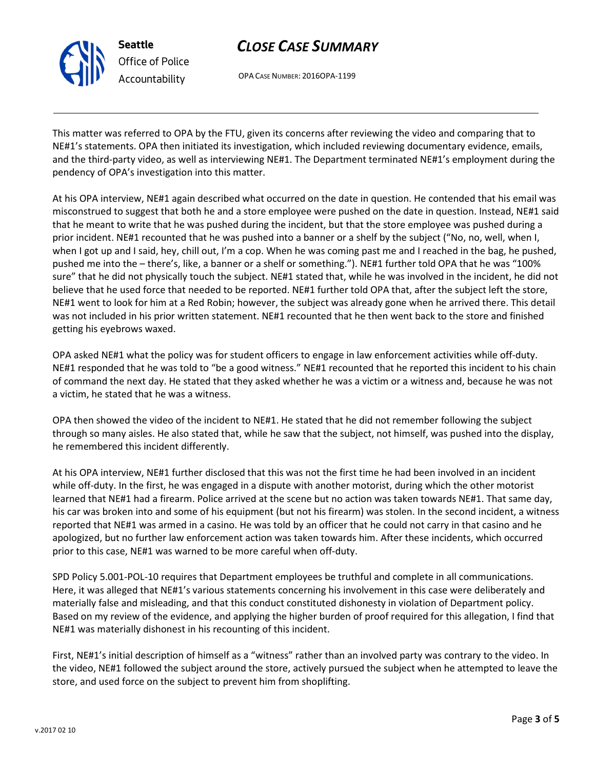v.2017 02 10

# CLOSE CASE SUMMARY

OPA CASE NUMBER: 2016OPA-1199

This matter was referred to OPA by the FTU, given its concerns after reviewing the video and comparing that to NE#1's statements. OPA then initiated its investigation, which included reviewing documentary evidence, emails, and the third-party video, as well as interviewing NE#1. The Department terminated NE#1's employment during the pendency of OPA's investigation into this matter.

At his OPA interview, NE#1 again described what occurred on the date in question. He contended that his email was misconstrued to suggest that both he and a store employee were pushed on the date in question. Instead, NE#1 said that he meant to write that he was pushed during the incident, but that the store employee was pushed during a prior incident. NE#1 recounted that he was pushed into a banner or a shelf by the subject ("No, no, well, when I, when I got up and I said, hey, chill out, I'm a cop. When he was coming past me and I reached in the bag, he pushed, pushed me into the – there's, like, a banner or a shelf or something."). NE#1 further told OPA that he was "100% sure" that he did not physically touch the subject. NE#1 stated that, while he was involved in the incident, he did not believe that he used force that needed to be reported. NE#1 further told OPA that, after the subject left the store, NE#1 went to look for him at a Red Robin; however, the subject was already gone when he arrived there. This detail was not included in his prior written statement. NE#1 recounted that he then went back to the store and finished getting his eyebrows waxed.

OPA asked NE#1 what the policy was for student officers to engage in law enforcement activities while off-duty. NE#1 responded that he was told to "be a good witness." NE#1 recounted that he reported this incident to his chain of command the next day. He stated that they asked whether he was a victim or a witness and, because he was not a victim, he stated that he was a witness.

OPA then showed the video of the incident to NE#1. He stated that he did not remember following the subject through so many aisles. He also stated that, while he saw that the subject, not himself, was pushed into the display, he remembered this incident differently.

At his OPA interview, NE#1 further disclosed that this was not the first time he had been involved in an incident while off-duty. In the first, he was engaged in a dispute with another motorist, during which the other motorist learned that NE#1 had a firearm. Police arrived at the scene but no action was taken towards NE#1. That same day, his car was broken into and some of his equipment (but not his firearm) was stolen. In the second incident, a witness reported that NE#1 was armed in a casino. He was told by an officer that he could not carry in that casino and he apologized, but no further law enforcement action was taken towards him. After these incidents, which occurred prior to this case, NE#1 was warned to be more careful when off-duty.

SPD Policy 5.001-POL-10 requires that Department employees be truthful and complete in all communications. Here, it was alleged that NE#1's various statements concerning his involvement in this case were deliberately and materially false and misleading, and that this conduct constituted dishonesty in violation of Department policy. Based on my review of the evidence, and applying the higher burden of proof required for this allegation, I find that NE#1 was materially dishonest in his recounting of this incident.

First, NE#1's initial description of himself as a "witness" rather than an involved party was contrary to the video. In the video, NE#1 followed the subject around the store, actively pursued the subject when he attempted to leave the store, and used force on the subject to prevent him from shoplifting.



Seattle

Office of Police Accountability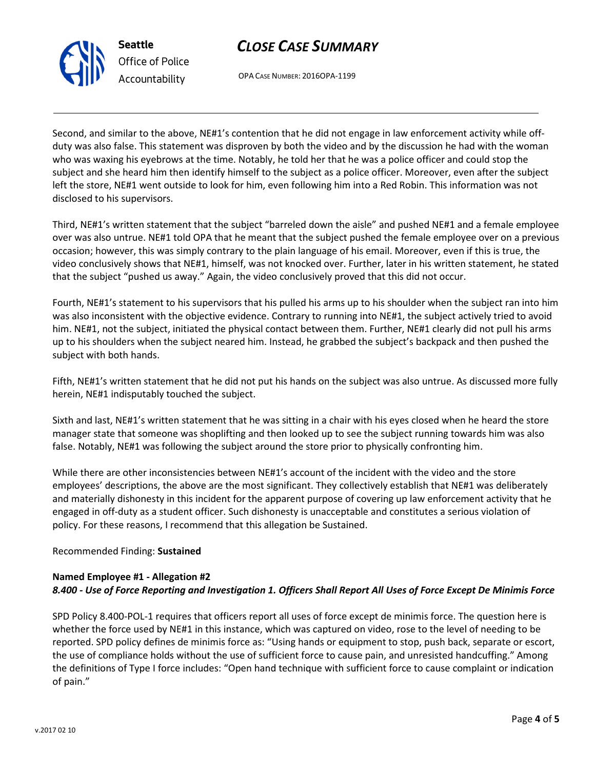

# CLOSE CASE SUMMARY

OPA CASE NUMBER: 2016OPA-1199

Second, and similar to the above, NE#1's contention that he did not engage in law enforcement activity while offduty was also false. This statement was disproven by both the video and by the discussion he had with the woman who was waxing his eyebrows at the time. Notably, he told her that he was a police officer and could stop the subject and she heard him then identify himself to the subject as a police officer. Moreover, even after the subject left the store, NE#1 went outside to look for him, even following him into a Red Robin. This information was not disclosed to his supervisors.

Third, NE#1's written statement that the subject "barreled down the aisle" and pushed NE#1 and a female employee over was also untrue. NE#1 told OPA that he meant that the subject pushed the female employee over on a previous occasion; however, this was simply contrary to the plain language of his email. Moreover, even if this is true, the video conclusively shows that NE#1, himself, was not knocked over. Further, later in his written statement, he stated that the subject "pushed us away." Again, the video conclusively proved that this did not occur.

Fourth, NE#1's statement to his supervisors that his pulled his arms up to his shoulder when the subject ran into him was also inconsistent with the objective evidence. Contrary to running into NE#1, the subject actively tried to avoid him. NE#1, not the subject, initiated the physical contact between them. Further, NE#1 clearly did not pull his arms up to his shoulders when the subject neared him. Instead, he grabbed the subject's backpack and then pushed the subject with both hands.

Fifth, NE#1's written statement that he did not put his hands on the subject was also untrue. As discussed more fully herein, NE#1 indisputably touched the subject.

Sixth and last, NE#1's written statement that he was sitting in a chair with his eyes closed when he heard the store manager state that someone was shoplifting and then looked up to see the subject running towards him was also false. Notably, NE#1 was following the subject around the store prior to physically confronting him.

While there are other inconsistencies between NE#1's account of the incident with the video and the store employees' descriptions, the above are the most significant. They collectively establish that NE#1 was deliberately and materially dishonesty in this incident for the apparent purpose of covering up law enforcement activity that he engaged in off-duty as a student officer. Such dishonesty is unacceptable and constitutes a serious violation of policy. For these reasons, I recommend that this allegation be Sustained.

## Recommended Finding: Sustained

## Named Employee #1 - Allegation #2 8.400 - Use of Force Reporting and Investigation 1. Officers Shall Report All Uses of Force Except De Minimis Force

SPD Policy 8.400-POL-1 requires that officers report all uses of force except de minimis force. The question here is whether the force used by NE#1 in this instance, which was captured on video, rose to the level of needing to be reported. SPD policy defines de minimis force as: "Using hands or equipment to stop, push back, separate or escort, the use of compliance holds without the use of sufficient force to cause pain, and unresisted handcuffing." Among the definitions of Type I force includes: "Open hand technique with sufficient force to cause complaint or indication of pain."